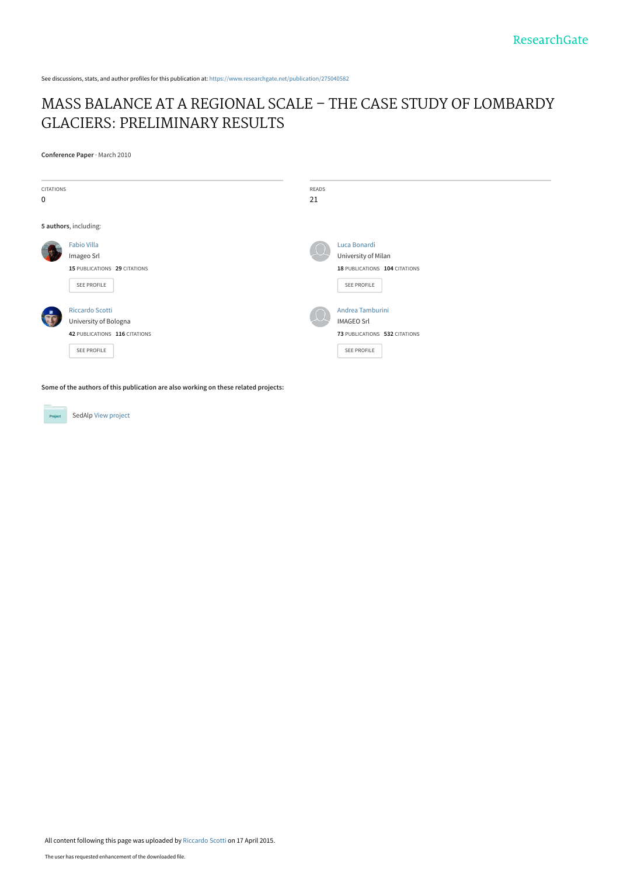See discussions, stats, and author profiles for this publication at: [https://www.researchgate.net/publication/275040582](https://www.researchgate.net/publication/275040582_MASS_BALANCE_AT_A_REGIONAL_SCALE_-_THE_CASE_STUDY_OF_LOMBARDY_GLACIERS_PRELIMINARY_RESULTS?enrichId=rgreq-2afa52024d80e9c39c6fbf64293b871c-XXX&enrichSource=Y292ZXJQYWdlOzI3NTA0MDU4MjtBUzoyMTkyMTMwMjYzMzY3NzFAMTQyOTI3NTg2NjU1OA%3D%3D&el=1_x_2&_esc=publicationCoverPdf)

## [MASS BALANCE AT A REGIONAL SCALE – THE CASE STUDY OF LOMBARDY](https://www.researchgate.net/publication/275040582_MASS_BALANCE_AT_A_REGIONAL_SCALE_-_THE_CASE_STUDY_OF_LOMBARDY_GLACIERS_PRELIMINARY_RESULTS?enrichId=rgreq-2afa52024d80e9c39c6fbf64293b871c-XXX&enrichSource=Y292ZXJQYWdlOzI3NTA0MDU4MjtBUzoyMTkyMTMwMjYzMzY3NzFAMTQyOTI3NTg2NjU1OA%3D%3D&el=1_x_3&_esc=publicationCoverPdf) GLACIERS: PRELIMINARY RESULTS

**Conference Paper** · March 2010



**Some of the authors of this publication are also working on these related projects:**

Project

SedAlp [View project](https://www.researchgate.net/project/SedAlp?enrichId=rgreq-2afa52024d80e9c39c6fbf64293b871c-XXX&enrichSource=Y292ZXJQYWdlOzI3NTA0MDU4MjtBUzoyMTkyMTMwMjYzMzY3NzFAMTQyOTI3NTg2NjU1OA%3D%3D&el=1_x_9&_esc=publicationCoverPdf)